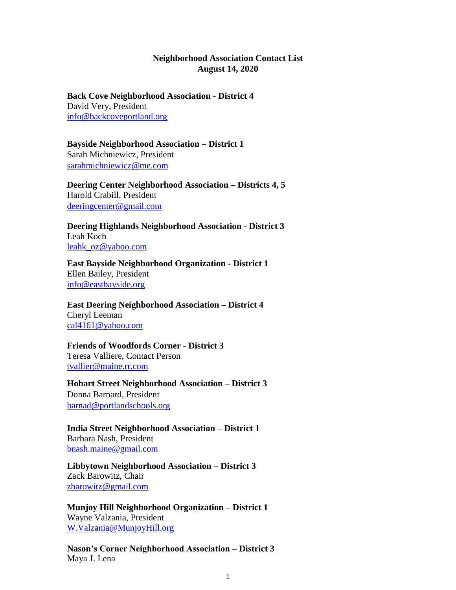## **Neighborhood Association Contact List August 14, 2020**

**Back Cove Neighborhood Association - District 4** David Very, President info@backcoveportland.org

**Bayside Neighborhood Association – District 1** Sarah Michniewicz, President sarahmichniewicz@me.com

**Deering Center Neighborhood Association – Districts 4, 5** Harold Crabill, President deeringcenter@gmail.com

**Deering Highlands Neighborhood Association - District 3** Leah Koch leahk\_oz@yahoo.com

**East Bayside Neighborhood Organization - District 1** Ellen Bailey, President info@eastbayside.org

**East Deering Neighborhood Association – District 4** Cheryl Leeman cal4161@yahoo.com

## **Friends of Woodfords Corner - District 3** Teresa Valliere, Contact Person

tvallier@maine.rr.com

**Hobart Street Neighborhood Association – District 3** Donna Barnard, President barnad@portlandschools.org

**India Street Neighborhood Association – District 1** Barbara Nash, President bnash.maine@gmail.com

**Libbytown Neighborhood Association – District 3** Zack Barowitz, Chair zbarowitz@gmail.com

**Munjoy Hill Neighborhood Organization – District 1** Wayne Valzania, President W.Valzania@MunjoyHill.org

**Nason's Corner Neighborhood Association – District 3** Maya J. Lena